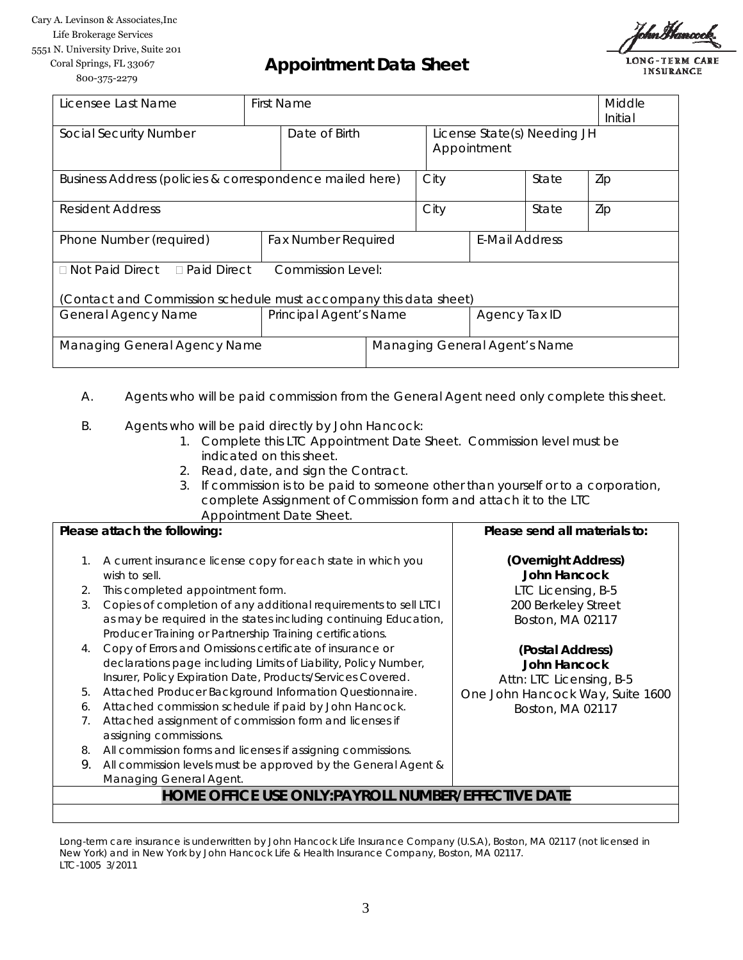rka Mancoci

LONG-TERM CARE **INSURANCE** 

| Licensee Last Name                                               |  | <b>First Name</b>          |                               |                                            | Middle<br>Initial |       |     |
|------------------------------------------------------------------|--|----------------------------|-------------------------------|--------------------------------------------|-------------------|-------|-----|
| Social Security Number                                           |  | Date of Birth              |                               | License State(s) Needing JH<br>Appointment |                   |       |     |
| Business Address (policies & correspondence mailed here)         |  |                            |                               | City                                       |                   | State | Zip |
| <b>Resident Address</b>                                          |  |                            |                               | City                                       |                   | State | Zip |
| Phone Number (required)                                          |  | <b>Fax Number Required</b> |                               |                                            | E-Mail Address    |       |     |
| □ Not Paid Direct □ Paid Direct<br>Commission Level:             |  |                            |                               |                                            |                   |       |     |
| (Contact and Commission schedule must accompany this data sheet) |  |                            |                               |                                            |                   |       |     |
| <b>General Agency Name</b>                                       |  | Principal Agent's Name     |                               | Agency Tax ID                              |                   |       |     |
| Managing General Agency Name                                     |  |                            | Managing General Agent's Name |                                            |                   |       |     |

#### A. Agents who will be paid commission from the General Agent need only complete this sheet.

#### B. Agents who will be paid directly by John Hancock:

- 1. Complete this LTC Appointment Date Sheet. Commission level must be indicated on this sheet.
- 2. Read, date, and sign the Contract.
- 3. If commission is to be paid to someone other than yourself or to a corporation, complete Assignment of Commission form and attach it to the LTC Appointment Date Sheet.

## **Please attach the following:**

- 1. A current insurance license copy for each state in which you wish to sell.
- 2. This completed appointment form.
- 3. Copies of completion of any additional requirements to sell LTCI as may be required in the states including continuing Education, Producer Training or Partnership Training certifications.
- 4. Copy of Errors and Omissions certificate of insurance or declarations page including Limits of Liability, Policy Number, Insurer, Policy Expiration Date, Products/Services Covered.
- 5. Attached Producer Background Information Questionnaire.
- 6. Attached commission schedule if paid by John Hancock.
- 7. Attached assignment of commission form and licenses if assigning commissions.
- 8. All commission forms and licenses if assigning commissions.
- 9. All commission levels must be approved by the General Agent & Managing General Agent.

## **HOME OFFICE USE ONLY:PAYROLL NUMBER/EFFECTIVE DATE**

Long-term care insurance is underwritten by John Hancock Life Insurance Company (U.S.A), Boston, MA 02117 (not licensed in New York) and in New York by John Hancock Life & Health Insurance Company, Boston, MA 02117. LTC-1005 3/2011

**Please send all materials to:** 

# **(Overnight Address) John Hancock**

LTC Licensing, B-5 200 Berkeley Street Boston, MA 02117

#### **(Postal Address) John Hancock**

Attn: LTC Licensing, B-5 One John Hancock Way, Suite 1600 Boston, MA 02117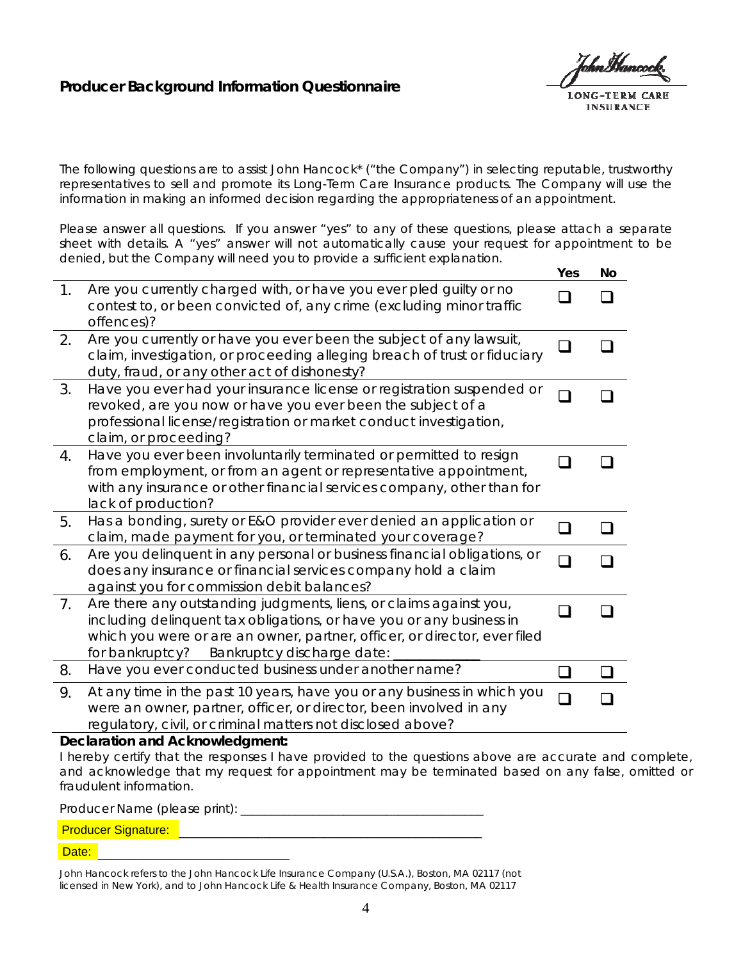# **Producer Background Information Questionnaire**

tchnMancoc

**LONG-TERM CARE INSURANCE** 

The following questions are to assist John Hancock<sup>\*</sup> ("the Company") in selecting reputable, trustworthy representatives to sell and promote its Long-Term Care Insurance products. The Company will use the information in making an informed decision regarding the appropriateness of an appointment.

Please answer all questions. If you answer "yes" to any of these questions, please attach a separate sheet with details. A "yes" answer will not automatically cause your request for appointment to be denied, but the Company will need you to provide a sufficient explanation.

|                |                                                                                                                                                                                                                                                                          | Yes    | No |
|----------------|--------------------------------------------------------------------------------------------------------------------------------------------------------------------------------------------------------------------------------------------------------------------------|--------|----|
| 1.             | Are you currently charged with, or have you ever pled guilty or no<br>contest to, or been convicted of, any crime (excluding minor traffic<br>offences)?                                                                                                                 |        |    |
| 2.             | Are you currently or have you ever been the subject of any lawsuit,<br>claim, investigation, or proceeding alleging breach of trust or fiduciary<br>duty, fraud, or any other act of dishonesty?                                                                         |        |    |
| 3.             | Have you ever had your insurance license or registration suspended or<br>revoked, are you now or have you ever been the subject of a<br>professional license/registration or market conduct investigation,<br>claim, or proceeding?                                      |        |    |
| 4.             | Have you ever been involuntarily terminated or permitted to resign<br>from employment, or from an agent or representative appointment,<br>with any insurance or other financial services company, other than for<br>lack of production?                                  |        |    |
| 5.             | Has a bonding, surety or E&O provider ever denied an application or<br>claim, made payment for you, or terminated your coverage?                                                                                                                                         |        |    |
| 6.             | Are you delinquent in any personal or business financial obligations, or<br>does any insurance or financial services company hold a claim<br>against you for commission debit balances?                                                                                  | ┓      |    |
| 7 <sub>1</sub> | Are there any outstanding judgments, liens, or claims against you,<br>including delinquent tax obligations, or have you or any business in<br>which you were or are an owner, partner, officer, or director, ever filed<br>for bankruptcy?<br>Bankruptcy discharge date: |        |    |
| 8.             | Have you ever conducted business under another name?                                                                                                                                                                                                                     | $\Box$ |    |
| 9.             | At any time in the past 10 years, have you or any business in which you<br>were an owner, partner, officer, or director, been involved in any<br>regulatory, civil, or criminal matters not disclosed above?                                                             | $\Box$ |    |
|                | <b>Declaration and Acknowledgment:</b>                                                                                                                                                                                                                                   |        |    |

I hereby certify that the responses I have provided to the questions above are accurate and complete, and acknowledge that my request for appointment may be terminated based on any false, omitted or fraudulent information.

Producer Name (please print): Producer Signature: \_\_\_\_\_\_\_\_\_\_\_\_\_\_\_\_\_\_\_\_\_\_\_\_\_\_\_\_\_\_\_\_\_\_\_\_\_\_\_\_\_\_\_\_\_\_\_\_\_\_ Producer Signature: Date: \_\_\_\_\_\_\_\_\_\_\_\_\_\_\_\_\_\_\_\_\_\_\_\_\_\_\_\_\_\_\_\_ Date:

John Hancock refers to the John Hancock Life Insurance Company (U.S.A.), Boston, MA 02117 (not licensed in New York), and to John Hancock Life & Health Insurance Company, Boston, MA 02117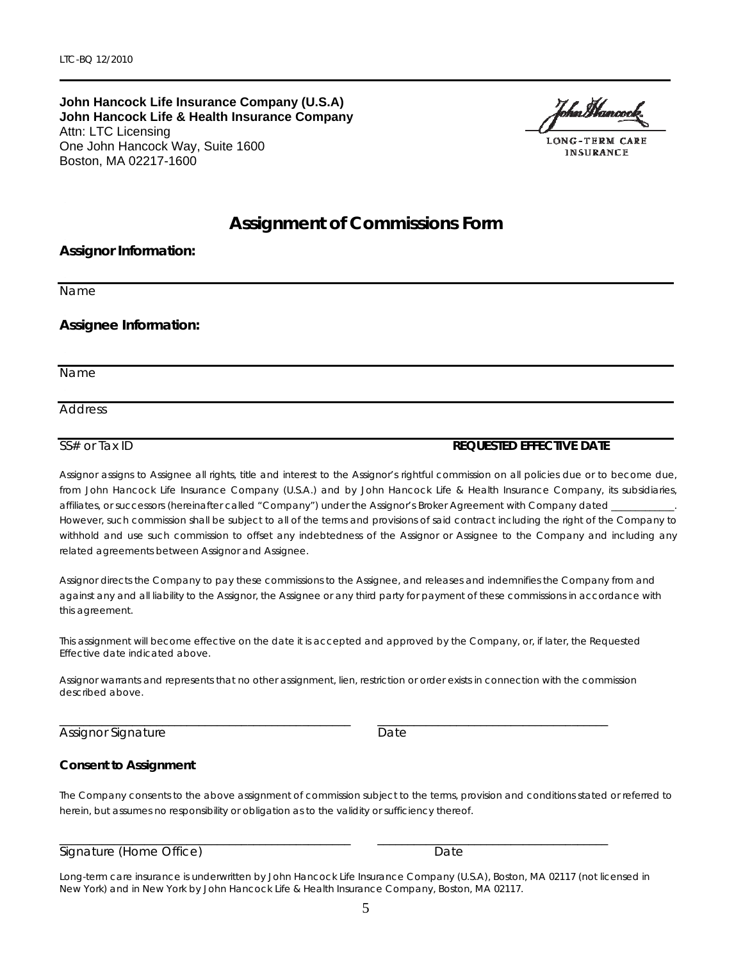**John Hancock Life Insurance Company (U.S.A) John Hancock Life & Health Insurance Company**  Attn: LTC Licensing One John Hancock Way, Suite 1600 Boston, MA 02217-1600



LONG-TERM CARE **INSURANCE** 

# **Assignment of Commissions Form**

#### **Assignor Information:**

Name

#### **Assignee Information:**

Name

**Address** 

#### SS# or Tax ID **REQUESTED EFFECTIVE DATE**

Assignor assigns to Assignee all rights, title and interest to the Assignor's rightful commission on all policies due or to become due, from John Hancock Life Insurance Company (U.S.A.) and by John Hancock Life & Health Insurance Company, its subsidiaries, affiliates, or successors (hereinafter called "Company") under the Assignor's Broker Agreement with Company dated However, such commission shall be subject to all of the terms and provisions of said contract including the right of the Company to withhold and use such commission to offset any indebtedness of the Assignor or Assignee to the Company and including any related agreements between Assignor and Assignee.

Assignor directs the Company to pay these commissions to the Assignee, and releases and indemnifies the Company from and against any and all liability to the Assignor, the Assignee or any third party for payment of these commissions in accordance with this agreement.

This assignment will become effective on the date it is accepted and approved by the Company, or, if later, the Requested Effective date indicated above.

Assignor warrants and represents that no other assignment, lien, restriction or order exists in connection with the commission described above.

\_\_\_\_\_\_\_\_\_\_\_\_\_\_\_\_\_\_\_\_\_\_\_\_\_\_\_\_\_\_\_\_\_\_\_\_\_\_\_\_\_\_\_\_\_\_\_\_ \_\_\_\_\_\_\_\_\_\_\_\_\_\_\_\_\_\_\_\_\_\_\_\_\_\_\_\_\_\_\_\_\_\_\_\_\_\_

Assignor Signature **Date** Date

#### **Consent to Assignment**

The Company consents to the above assignment of commission subject to the terms, provision and conditions stated or referred to herein, but assumes no responsibility or obligation as to the validity or sufficiency thereof.

\_\_\_\_\_\_\_\_\_\_\_\_\_\_\_\_\_\_\_\_\_\_\_\_\_\_\_\_\_\_\_\_\_\_\_\_\_\_\_\_\_\_\_\_\_\_\_\_ \_\_\_\_\_\_\_\_\_\_\_\_\_\_\_\_\_\_\_\_\_\_\_\_\_\_\_\_\_\_\_\_\_\_\_\_\_\_ Signature (Home Office) and the contract of the Date

Long-term care insurance is underwritten by John Hancock Life Insurance Company (U.S.A), Boston, MA 02117 (not licensed in New York) and in New York by John Hancock Life & Health Insurance Company, Boston, MA 02117.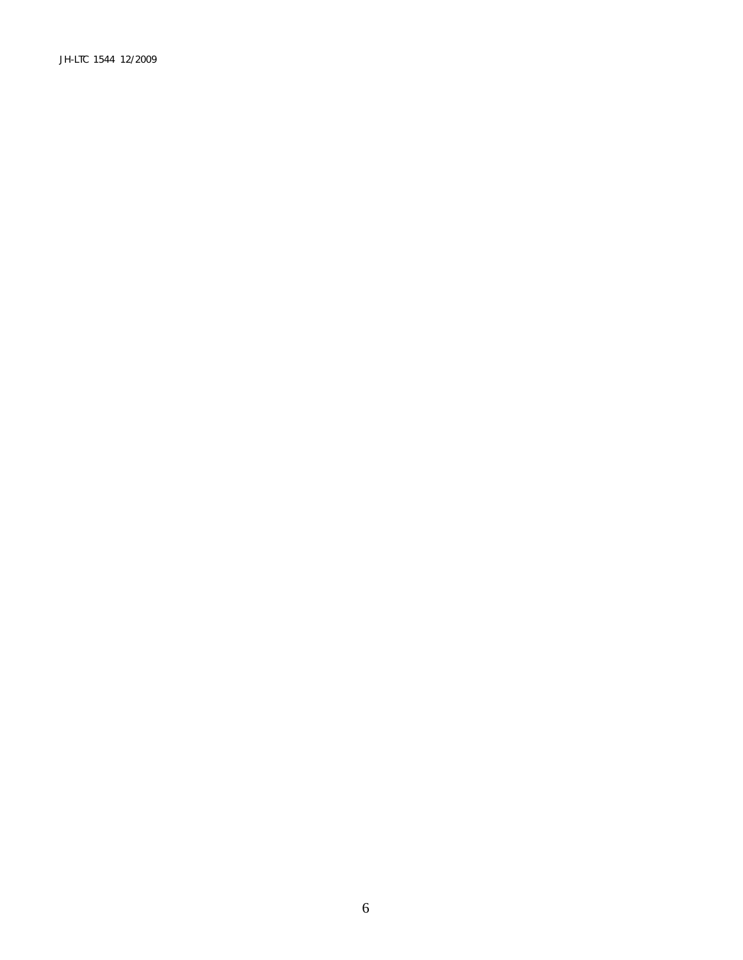JH-LTC 1544 12/2009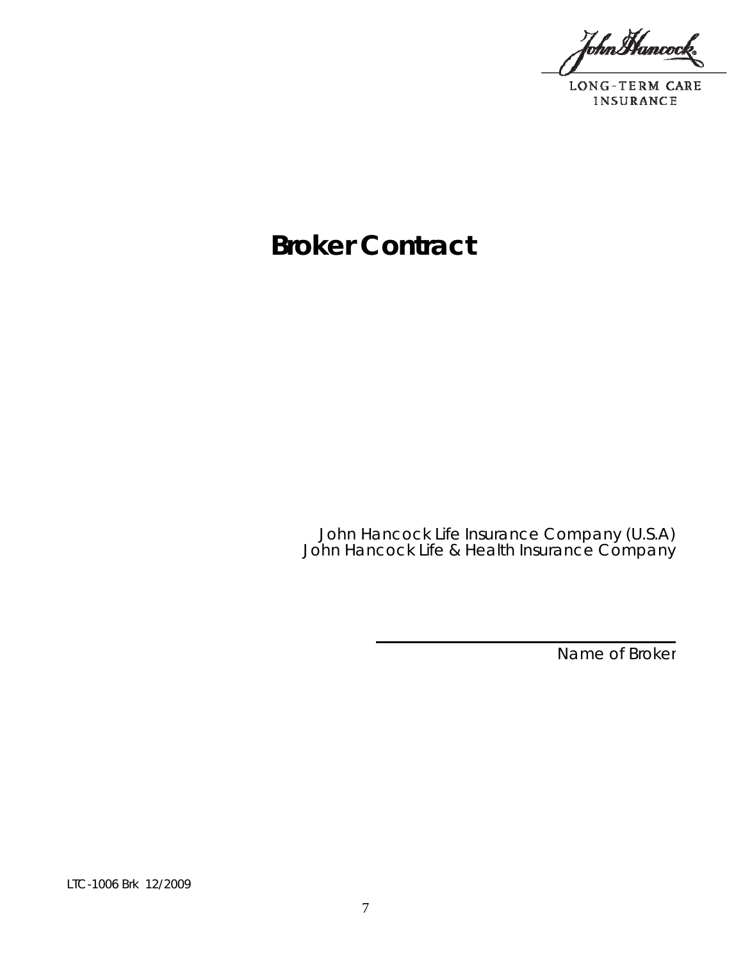John Mancoci

LONG-TERM CARE **INSURANCE** 

# **Broker Contract**

John Hancock Life Insurance Company (U.S.A) John Hancock Life & Health Insurance Company

Name of Broker

LTC-1006 Brk 12/2009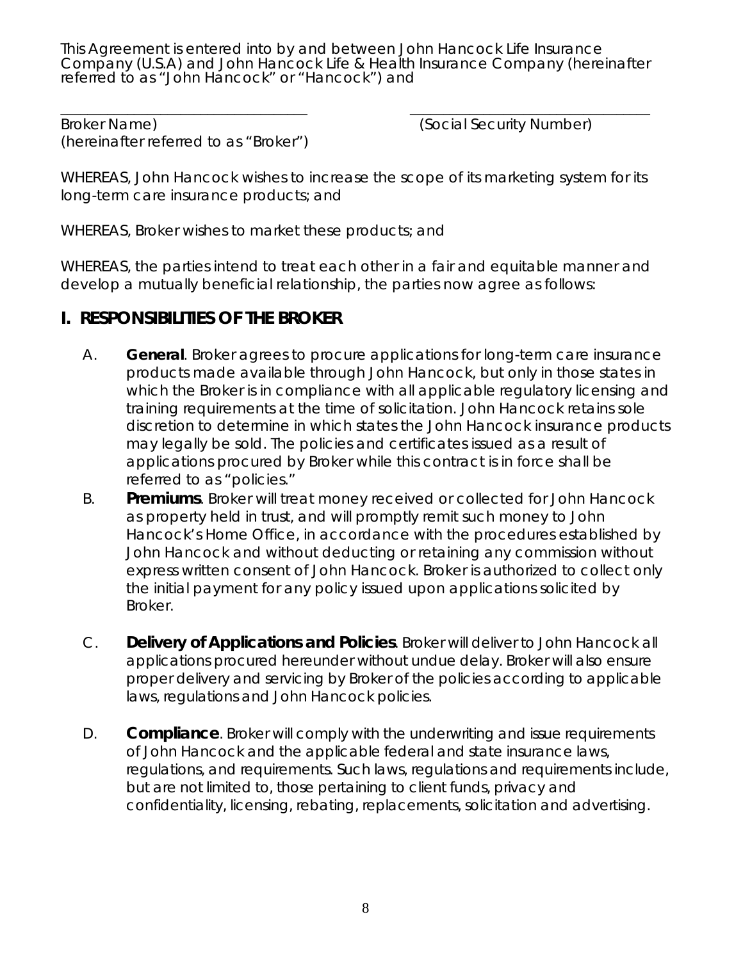This Agreement is entered into by and between John Hancock Life Insurance Company (U.S.A) and John Hancock Life & Health Insurance Company (hereinafter referred to as "John Hancock" or "Hancock") and

\_\_\_\_\_\_\_\_\_\_\_\_\_\_\_\_\_\_\_\_\_\_\_\_\_\_\_\_\_\_\_\_\_\_\_\_\_ \_\_\_\_\_\_\_\_\_\_\_\_\_\_\_\_\_\_\_\_\_\_\_\_\_\_\_\_\_\_\_\_\_\_\_\_

Broker Name) **(Social Security Number)** (Social Security Number) (hereinafter referred to as "Broker")

*WHEREAS*, John Hancock wishes to increase the scope of its marketing system for its long-term care insurance products; and

*WHEREAS*, Broker wishes to market these products; and

*WHEREAS*, the parties intend to treat each other in a fair and equitable manner and develop a mutually beneficial relationship, the parties now agree as follows:

# **I. RESPONSIBILITIES OF THE BROKER**

- A. **General**. Broker agrees to procure applications for long-term care insurance products made available through John Hancock, but only in those states in which the Broker is in compliance with all applicable regulatory licensing and training requirements at the time of solicitation. John Hancock retains sole discretion to determine in which states the John Hancock insurance products may legally be sold. The policies and certificates issued as a result of applications procured by Broker while this contract is in force shall be referred to as "policies."
- B. **Premiums**. Broker will treat money received or collected for John Hancock as property held in trust, and will promptly remit such money to John Hancock's Home Office, in accordance with the procedures established by John Hancock and without deducting or retaining any commission without express written consent of John Hancock. Broker is authorized to collect only the initial payment for any policy issued upon applications solicited by Broker.
- C. **Delivery of Applications and Policies**. Broker will deliver to John Hancock all applications procured hereunder without undue delay. Broker will also ensure proper delivery and servicing by Broker of the policies according to applicable laws, regulations and John Hancock policies.
- D. **Compliance**. Broker will comply with the underwriting and issue requirements of John Hancock and the applicable federal and state insurance laws, regulations, and requirements. Such laws, regulations and requirements include, but are not limited to, those pertaining to client funds, privacy and confidentiality, licensing, rebating, replacements, solicitation and advertising.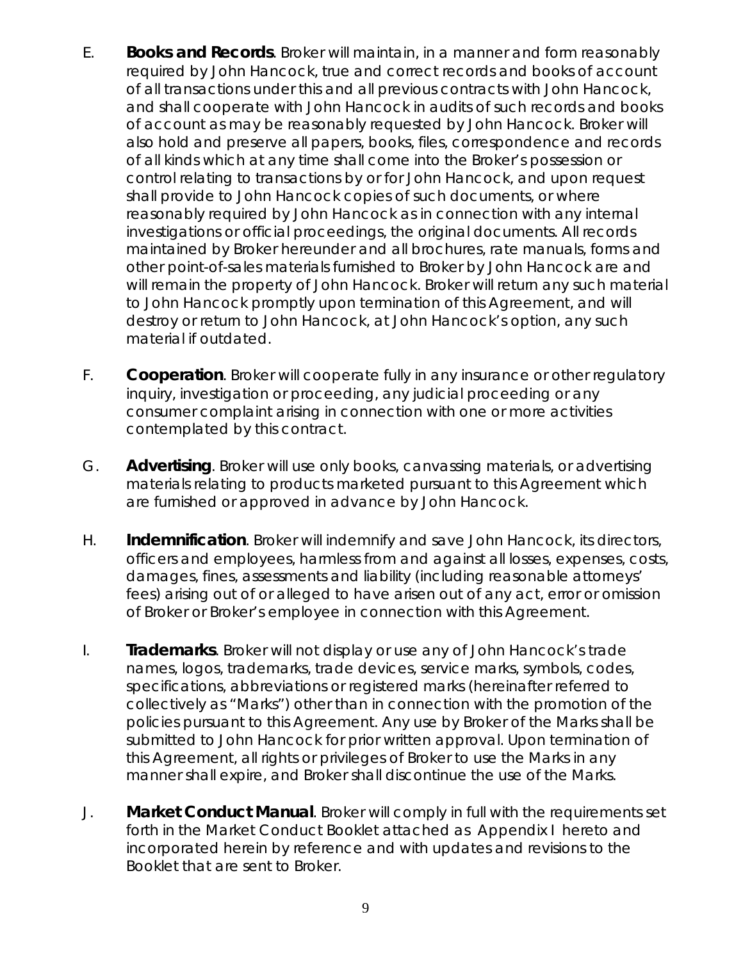- E. **Books and Records**. Broker will maintain, in a manner and form reasonably required by John Hancock, true and correct records and books of account of all transactions under this and all previous contracts with John Hancock, and shall cooperate with John Hancock in audits of such records and books of account as may be reasonably requested by John Hancock. Broker will also hold and preserve all papers, books, files, correspondence and records of all kinds which at any time shall come into the Broker's possession or control relating to transactions by or for John Hancock, and upon request shall provide to John Hancock copies of such documents, or where reasonably required by John Hancock as in connection with any internal investigations or official proceedings, the original documents. All records maintained by Broker hereunder and all brochures, rate manuals, forms and other point-of-sales materials furnished to Broker by John Hancock are and will remain the property of John Hancock. Broker will return any such material to John Hancock promptly upon termination of this Agreement, and will destroy or return to John Hancock, at John Hancock's option, any such material if outdated.
- F. **Cooperation**. Broker will cooperate fully in any insurance or other regulatory inquiry, investigation or proceeding, any judicial proceeding or any consumer complaint arising in connection with one or more activities contemplated by this contract.
- G. **Advertising**. Broker will use only books, canvassing materials, or advertising materials relating to products marketed pursuant to this Agreement which are furnished or approved in advance by John Hancock.
- H. **Indemnification**. Broker will indemnify and save John Hancock, its directors, officers and employees, harmless from and against all losses, expenses, costs, damages, fines, assessments and liability (including reasonable attorneys' fees) arising out of or alleged to have arisen out of any act, error or omission of Broker or Broker's employee in connection with this Agreement.
- I. **Trademarks**. Broker will not display or use any of John Hancock's trade names, logos, trademarks, trade devices, service marks, symbols, codes, specifications, abbreviations or registered marks (hereinafter referred to collectively as "Marks") other than in connection with the promotion of the policies pursuant to this Agreement. Any use by Broker of the Marks shall be submitted to John Hancock for prior written approval. Upon termination of this Agreement, all rights or privileges of Broker to use the Marks in any manner shall expire, and Broker shall discontinue the use of the Marks.
- J. **Market Conduct Manual**. Broker will comply in full with the requirements set forth in the Market Conduct Booklet attached as *Appendix I* hereto and incorporated herein by reference and with updates and revisions to the Booklet that are sent to Broker.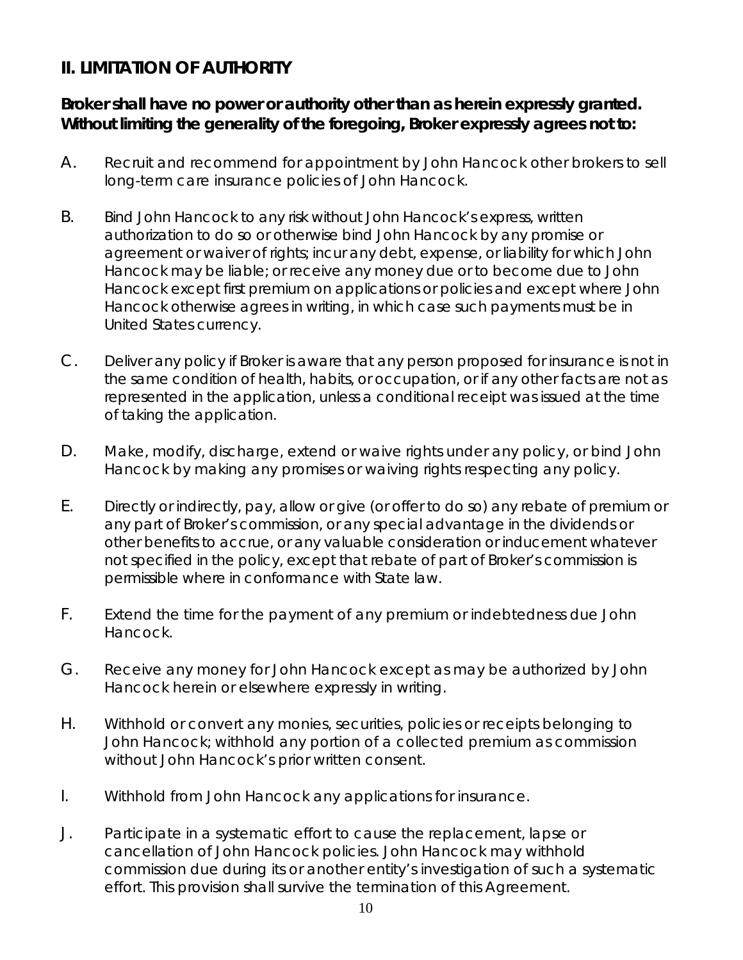# **II. LIMITATION OF AUTHORITY**

# **Broker shall have no power or authority other than as herein expressly granted. Without limiting the generality of the foregoing, Broker expressly agrees not to:**

- A. Recruit and recommend for appointment by John Hancock other brokers to sell long-term care insurance policies of John Hancock.
- B. Bind John Hancock to any risk without John Hancock's express, written authorization to do so or otherwise bind John Hancock by any promise or agreement or waiver of rights; incur any debt, expense, or liability for which John Hancock may be liable; or receive any money due or to become due to John Hancock except first premium on applications or policies and except where John Hancock otherwise agrees in writing, in which case such payments must be in United States currency.
- C. Deliver any policy if Broker is aware that any person proposed for insurance is not in the same condition of health, habits, or occupation, or if any other facts are not as represented in the application, unless a conditional receipt was issued at the time of taking the application.
- D. Make, modify, discharge, extend or waive rights under any policy, or bind John Hancock by making any promises or waiving rights respecting any policy.
- E. Directly or indirectly, pay, allow or give (or offer to do so) any rebate of premium or any part of Broker's commission, or any special advantage in the dividends or other benefits to accrue, or any valuable consideration or inducement whatever not specified in the policy, except that rebate of part of Broker's commission is permissible where in conformance with State law.
- F. Extend the time for the payment of any premium or indebtedness due John Hancock.
- G. Receive any money for John Hancock except as may be authorized by John Hancock herein or elsewhere expressly in writing.
- H. Withhold or convert any monies, securities, policies or receipts belonging to John Hancock; withhold any portion of a collected premium as commission without John Hancock's prior written consent.
- I. Withhold from John Hancock any applications for insurance.
- J. Participate in a systematic effort to cause the replacement, lapse or cancellation of John Hancock policies. John Hancock may withhold commission due during its or another entity's investigation of such a systematic effort. This provision shall survive the termination of this Agreement.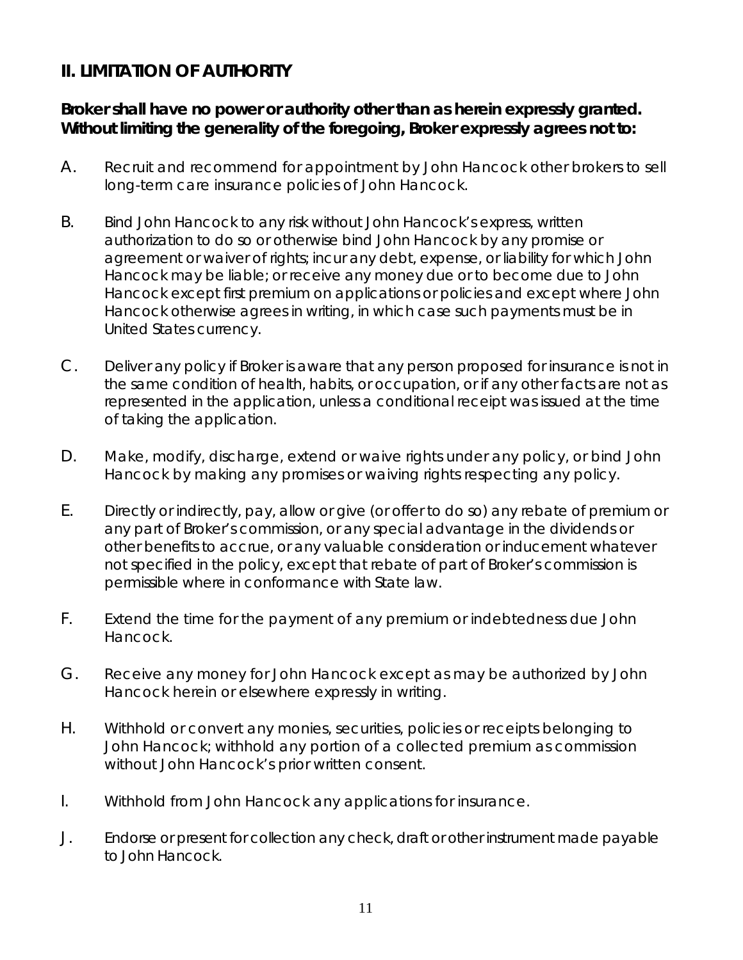# **II. LIMITATION OF AUTHORITY**

# **Broker shall have no power or authority other than as herein expressly granted. Without limiting the generality of the foregoing, Broker expressly agrees not to:**

- A. Recruit and recommend for appointment by John Hancock other brokers to sell long-term care insurance policies of John Hancock.
- B. Bind John Hancock to any risk without John Hancock's express, written authorization to do so or otherwise bind John Hancock by any promise or agreement or waiver of rights; incur any debt, expense, or liability for which John Hancock may be liable; or receive any money due or to become due to John Hancock except first premium on applications or policies and except where John Hancock otherwise agrees in writing, in which case such payments must be in United States currency.
- C. Deliver any policy if Broker is aware that any person proposed for insurance is not in the same condition of health, habits, or occupation, or if any other facts are not as represented in the application, unless a conditional receipt was issued at the time of taking the application.
- D. Make, modify, discharge, extend or waive rights under any policy, or bind John Hancock by making any promises or waiving rights respecting any policy.
- E. Directly or indirectly, pay, allow or give (or offer to do so) any rebate of premium or any part of Broker's commission, or any special advantage in the dividends or other benefits to accrue, or any valuable consideration or inducement whatever not specified in the policy, except that rebate of part of Broker's commission is permissible where in conformance with State law.
- F. Extend the time for the payment of any premium or indebtedness due John Hancock.
- G. Receive any money for John Hancock except as may be authorized by John Hancock herein or elsewhere expressly in writing.
- H. Withhold or convert any monies, securities, policies or receipts belonging to John Hancock; withhold any portion of a collected premium as commission without John Hancock's prior written consent.
- I. Withhold from John Hancock any applications for insurance.
- J. Endorse or present for collection any check, draft or other instrument made payable to John Hancock.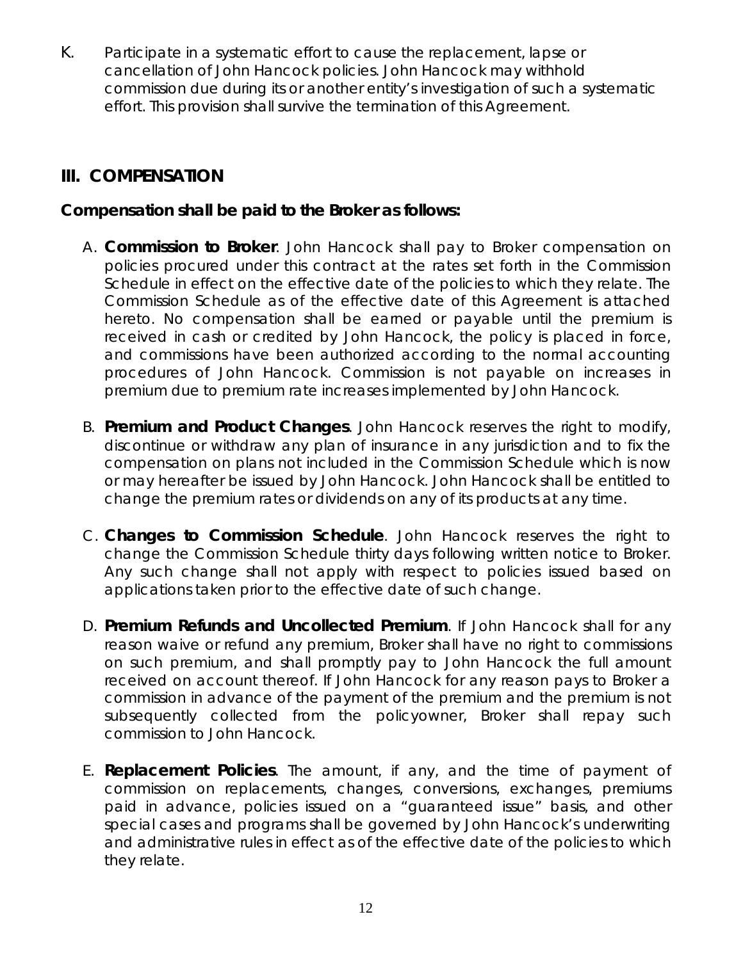K. Participate in a systematic effort to cause the replacement, lapse or cancellation of John Hancock policies. John Hancock may withhold commission due during its or another entity's investigation of such a systematic effort. This provision shall survive the termination of this Agreement.

# **III. COMPENSATION**

# **Compensation shall be paid to the Broker as follows:**

- A. **Commission to Broker**. John Hancock shall pay to Broker compensation on policies procured under this contract at the rates set forth in the Commission Schedule in effect on the effective date of the policies to which they relate. The Commission Schedule as of the effective date of this Agreement is attached hereto. No compensation shall be earned or payable until the premium is received in cash or credited by John Hancock, the policy is placed in force, and commissions have been authorized according to the normal accounting procedures of John Hancock. Commission is not payable on increases in premium due to premium rate increases implemented by John Hancock.
- B. **Premium and Product Changes**. John Hancock reserves the right to modify, discontinue or withdraw any plan of insurance in any jurisdiction and to fix the compensation on plans not included in the Commission Schedule which is now or may hereafter be issued by John Hancock. John Hancock shall be entitled to change the premium rates or dividends on any of its products at any time.
- C. **Changes to Commission Schedule**. John Hancock reserves the right to change the Commission Schedule thirty days following written notice to Broker. Any such change shall not apply with respect to policies issued based on applications taken prior to the effective date of such change.
- D. **Premium Refunds and Uncollected Premium**. If John Hancock shall for any reason waive or refund any premium, Broker shall have no right to commissions on such premium, and shall promptly pay to John Hancock the full amount received on account thereof. If John Hancock for any reason pays to Broker a commission in advance of the payment of the premium and the premium is not subsequently collected from the policyowner, Broker shall repay such commission to John Hancock.
- E. **Replacement Policies**. The amount, if any, and the time of payment of commission on replacements, changes, conversions, exchanges, premiums paid in advance, policies issued on a "guaranteed issue" basis, and other special cases and programs shall be governed by John Hancock's underwriting and administrative rules in effect as of the effective date of the policies to which they relate.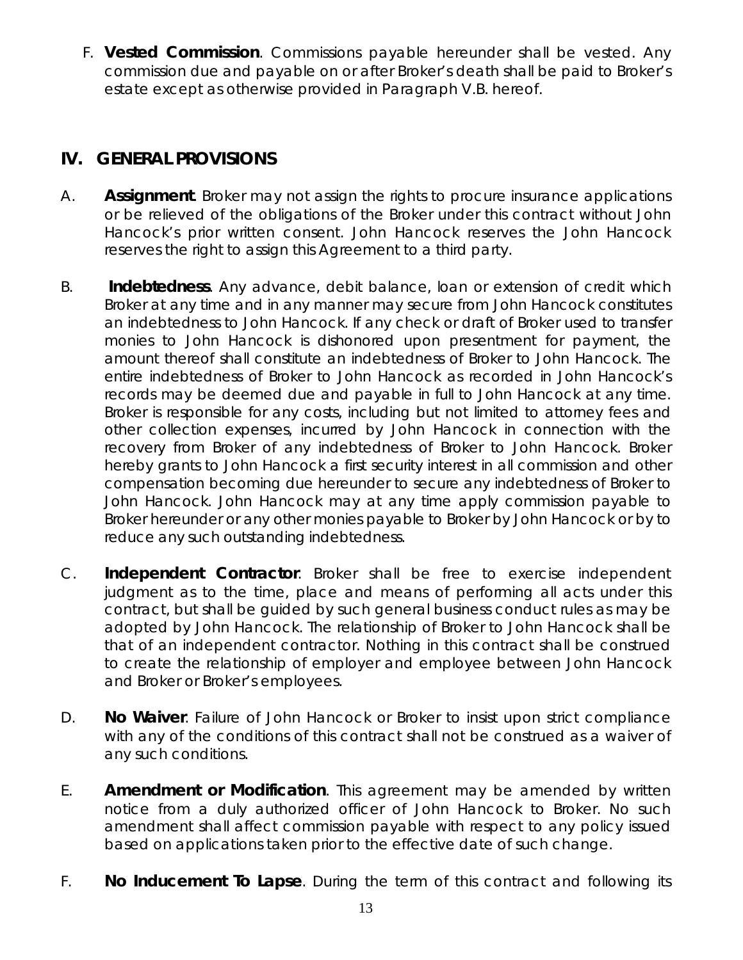F. **Vested Commission**. Commissions payable hereunder shall be vested. Any commission due and payable on or after Broker's death shall be paid to Broker's estate except as otherwise provided in Paragraph V.B. hereof.

# **IV. GENERAL PROVISIONS**

- A. **Assignment**. Broker may not assign the rights to procure insurance applications or be relieved of the obligations of the Broker under this contract without John Hancock's prior written consent. John Hancock reserves the John Hancock reserves the right to assign this Agreement to a third party.
- B. **Indebtedness**. Any advance, debit balance, loan or extension of credit which Broker at any time and in any manner may secure from John Hancock constitutes an indebtedness to John Hancock. If any check or draft of Broker used to transfer monies to John Hancock is dishonored upon presentment for payment, the amount thereof shall constitute an indebtedness of Broker to John Hancock. The entire indebtedness of Broker to John Hancock as recorded in John Hancock's records may be deemed due and payable in full to John Hancock at any time. Broker is responsible for any costs, including but not limited to attorney fees and other collection expenses, incurred by John Hancock in connection with the recovery from Broker of any indebtedness of Broker to John Hancock. Broker hereby grants to John Hancock a first security interest in all commission and other compensation becoming due hereunder to secure any indebtedness of Broker to John Hancock. John Hancock may at any time apply commission payable to Broker hereunder or any other monies payable to Broker by John Hancock or by to reduce any such outstanding indebtedness.
- C. **Independent Contractor**. Broker shall be free to exercise independent judgment as to the time, place and means of performing all acts under this contract, but shall be guided by such general business conduct rules as may be adopted by John Hancock. The relationship of Broker to John Hancock shall be that of an independent contractor. Nothing in this contract shall be construed to create the relationship of employer and employee between John Hancock and Broker or Broker's employees.
- D. **No Waiver**. Failure of John Hancock or Broker to insist upon strict compliance with any of the conditions of this contract shall not be construed as a waiver of any such conditions.
- E. **Amendment or Modification**. This agreement may be amended by written notice from a duly authorized officer of John Hancock to Broker. No such amendment shall affect commission payable with respect to any policy issued based on applications taken prior to the effective date of such change.
- F. **No Inducement To Lapse**. During the term of this contract and following its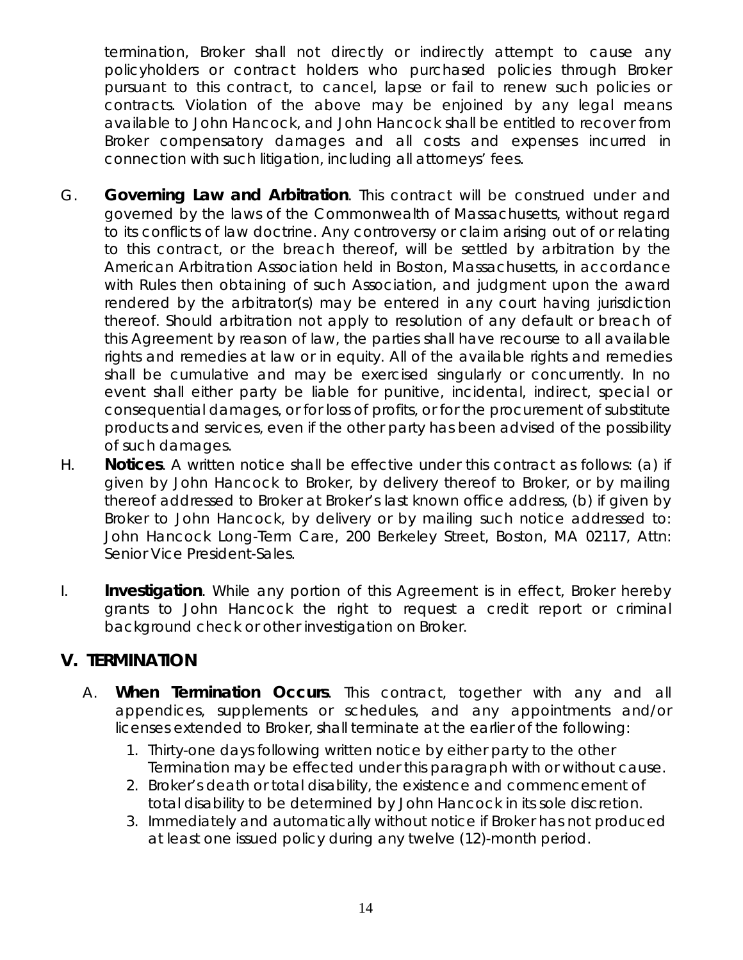termination, Broker shall not directly or indirectly attempt to cause any policyholders or contract holders who purchased policies through Broker pursuant to this contract, to cancel, lapse or fail to renew such policies or contracts. Violation of the above may be enjoined by any legal means available to John Hancock, and John Hancock shall be entitled to recover from Broker compensatory damages and all costs and expenses incurred in connection with such litigation, including all attorneys' fees.

- G. **Governing Law and Arbitration**. This contract will be construed under and governed by the laws of the Commonwealth of Massachusetts, without regard to its conflicts of law doctrine. Any controversy or claim arising out of or relating to this contract, or the breach thereof, will be settled by arbitration by the American Arbitration Association held in Boston, Massachusetts, in accordance with Rules then obtaining of such Association, and judgment upon the award rendered by the arbitrator(s) may be entered in any court having jurisdiction thereof. Should arbitration not apply to resolution of any default or breach of this Agreement by reason of law, the parties shall have recourse to all available rights and remedies at law or in equity. All of the available rights and remedies shall be cumulative and may be exercised singularly or concurrently. In no event shall either party be liable for punitive, incidental, indirect, special or consequential damages, or for loss of profits, or for the procurement of substitute products and services, even if the other party has been advised of the possibility of such damages.
- H. **Notices**. A written notice shall be effective under this contract as follows: (a) if given by John Hancock to Broker, by delivery thereof to Broker, or by mailing thereof addressed to Broker at Broker's last known office address, (b) if given by Broker to John Hancock, by delivery or by mailing such notice addressed to: John Hancock Long-Term Care, 200 Berkeley Street, Boston, MA 02117, Attn: Senior Vice President-Sales.
- I. **Investigation**. While any portion of this Agreement is in effect, Broker hereby grants to John Hancock the right to request a credit report or criminal background check or other investigation on Broker.

# **V. TERMINATION**

- A. **When Termination Occurs**. This contract, together with any and all appendices, supplements or schedules, and any appointments and/or licenses extended to Broker, shall terminate at the earlier of the following:
	- 1. Thirty-one days following written notice by either party to the other Termination may be effected under this paragraph with or without cause.
	- 2. Broker's death or total disability, the existence and commencement of total disability to be determined by John Hancock in its sole discretion.
	- 3. Immediately and automatically without notice if Broker has not produced at least one issued policy during any twelve (12)-month period.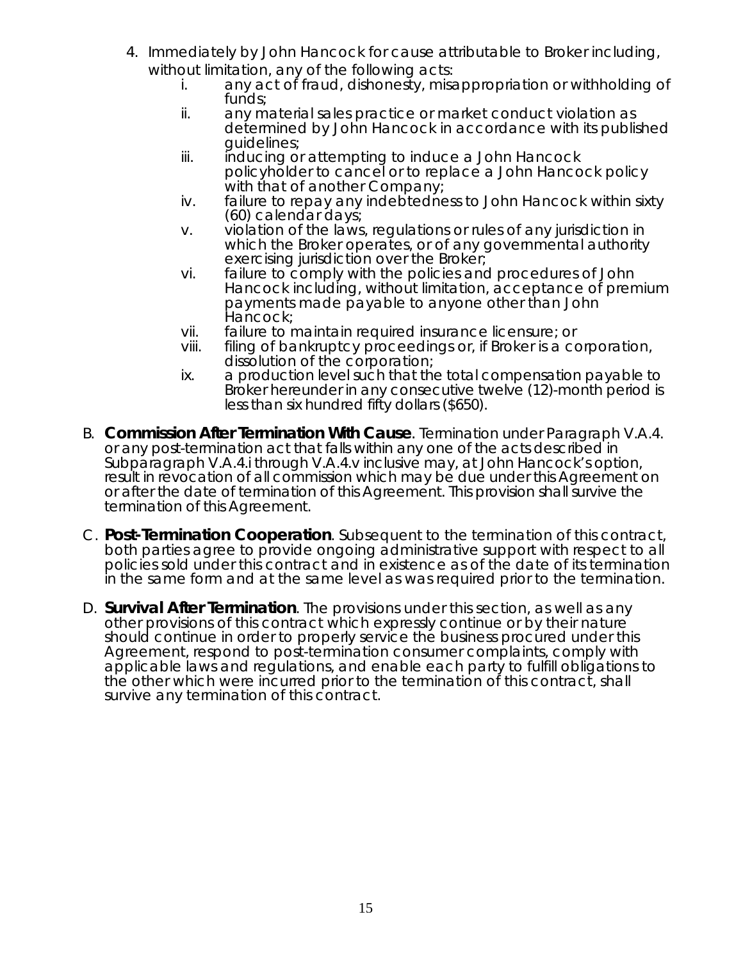- 4. Immediately by John Hancock for cause attributable to Broker including, without limitation, any of the following acts:
	- i. any act of fraud, dishonesty, misappropriation or withholding of funds;
	- ii. any material sales practice or market conduct violation as determined by John Hancock in accordance with its published guidelines;
	- iii. inducing or attempting to induce a John Hancock policyholder to cancel or to replace a John Hancock policy with that of another Company;
	- iv. failure to repay any indebtedness to John Hancock within sixty (60) calendar days;
	- v. violation of the laws, regulations or rules of any jurisdiction in which the Broker operates, or of any governmental authority exercising jurisdiction over the Broker;
	- vi. failure to comply with the policies and procedures of John Hancock including, without limitation, acceptance of premium payments made payable to anyone other than John Hancock;
	- vii. failure to maintain required insurance licensure; or
	- viii. filing of bankruptcy proceedings or, if Broker is a corporation, dissolution of the corporation;
	- ix. a production level such that the total compensation payable to Broker hereunder in any consecutive twelve (12)-month period is less than six hundred fifty dollars (\$650).
- B. **Commission After Termination With Cause**. Termination under Paragraph V.A.4. or any post-termination act that falls within any one of the acts described in Subparagraph V.A.4.i through V.A.4.v inclusive may, at John Hancock's option, result in revocation of all commission which may be due under this Agreement on or after the date of termination of this Agreement. This provision shall survive the termination of this Agreement.
- C. **Post-Termination Cooperation**. Subsequent to the termination of this contract, both parties agree to provide ongoing administrative support with respect to all policies sold under this contract and in existence as of the date of its termination in the same form and at the same level as was required prior to the termination.
- D. **Survival After Termination**. The provisions under this section, as well as any other provisions of this contract which expressly continue or by their nature should continue in order to properly service the business procured under this Agreement, respond to post-termination consumer complaints, comply with applicable laws and regulations, and enable each party to fulfill obligations to the other which were incurred prior to the termination of this contract, shall survive any termination of this contract.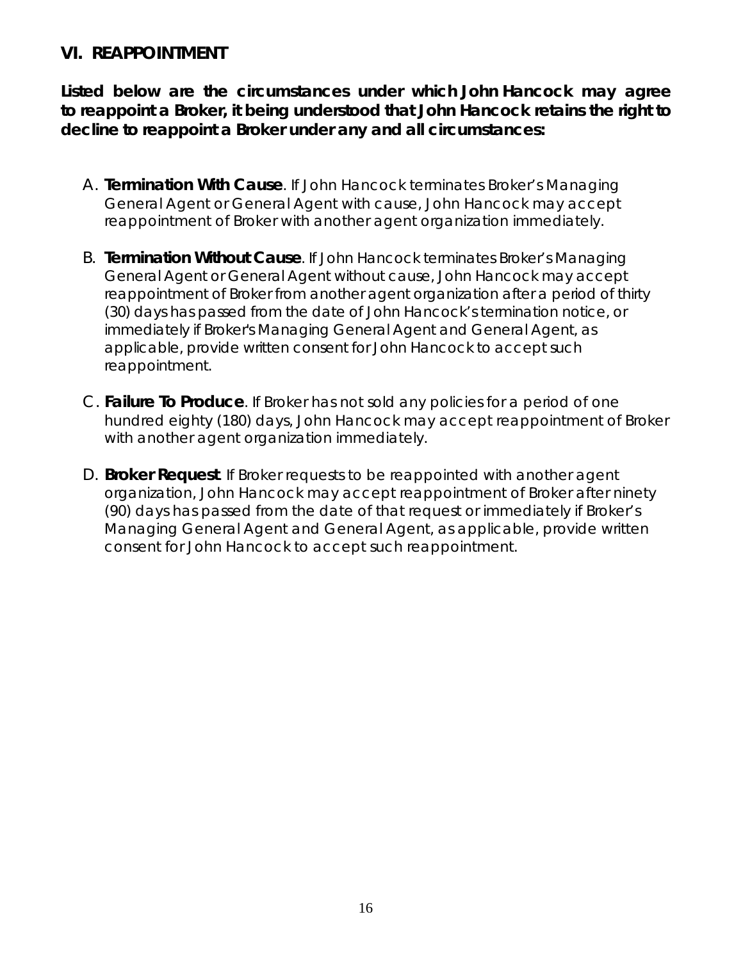# **VI. REAPPOINTMENT**

**Listed below are the circumstances under which John Hancock may agree to reappoint a Broker, it being understood that John Hancock retains the right to decline to reappoint a Broker under any and all circumstances:**

- A. **Termination With Cause**. If John Hancock terminates Broker's Managing General Agent or General Agent with cause, John Hancock may accept reappointment of Broker with another agent organization immediately.
- B. **Termination Without Cause**. If John Hancock terminates Broker's Managing General Agent or General Agent without cause, John Hancock may accept reappointment of Broker from another agent organization after a period of thirty (30) days has passed from the date of John Hancock's termination notice, or immediately if Broker's Managing General Agent and General Agent, as applicable, provide written consent for John Hancock to accept such reappointment.
- C. **Failure To Produce**. If Broker has not sold any policies for a period of one hundred eighty (180) days, John Hancock may accept reappointment of Broker with another agent organization immediately.
- D. **Broker Request**. If Broker requests to be reappointed with another agent organization, John Hancock may accept reappointment of Broker after ninety (90) days has passed from the date of that request or immediately if Broker's Managing General Agent and General Agent, as applicable, provide written consent for John Hancock to accept such reappointment.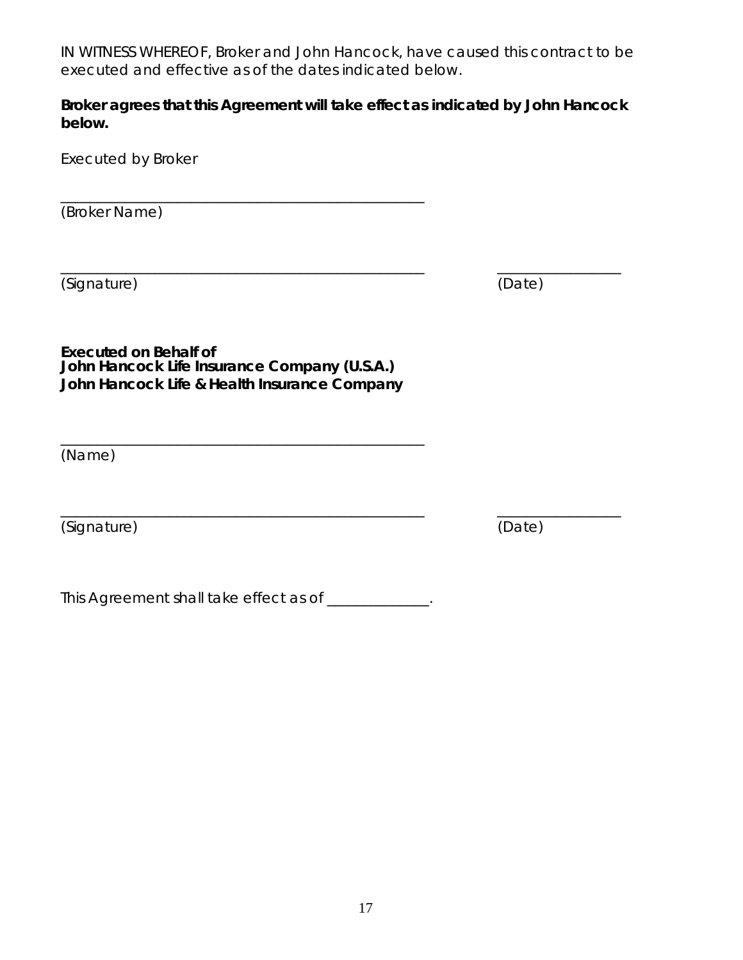*IN WITNESS WHEREOF*, Broker and John Hancock, have caused this contract to be executed and effective as of the dates indicated below.

**Broker agrees that this Agreement will take effect as indicated by John Hancock below.** 

\_\_\_\_\_\_\_\_\_\_\_\_\_\_\_\_\_\_\_\_\_\_\_\_\_\_\_\_\_\_\_\_\_\_\_\_\_\_\_\_\_\_\_\_\_\_\_\_\_\_ \_\_\_\_\_\_\_\_\_\_\_\_\_\_\_\_\_

Executed by Broker

(Broker Name)

(Signature) (Date)

\_\_\_\_\_\_\_\_\_\_\_\_\_\_\_\_\_\_\_\_\_\_\_\_\_\_\_\_\_\_\_\_\_\_\_\_\_\_\_\_\_\_\_\_\_\_\_\_\_\_ \_\_\_\_\_\_\_\_\_\_\_\_\_\_\_\_\_

**Executed on Behalf of John Hancock Life Insurance Company (U.S.A.) John Hancock Life & Health Insurance Company** 

\_\_\_\_\_\_\_\_\_\_\_\_\_\_\_\_\_\_\_\_\_\_\_\_\_\_\_\_\_\_\_\_\_\_\_\_\_\_\_\_\_\_\_\_\_\_\_\_\_\_

\_\_\_\_\_\_\_\_\_\_\_\_\_\_\_\_\_\_\_\_\_\_\_\_\_\_\_\_\_\_\_\_\_\_\_\_\_\_\_\_\_\_\_\_\_\_\_\_\_\_

(Name)

(Signature) (Date)

This Agreement shall take effect as of \_\_\_\_\_\_\_\_\_\_\_\_\_.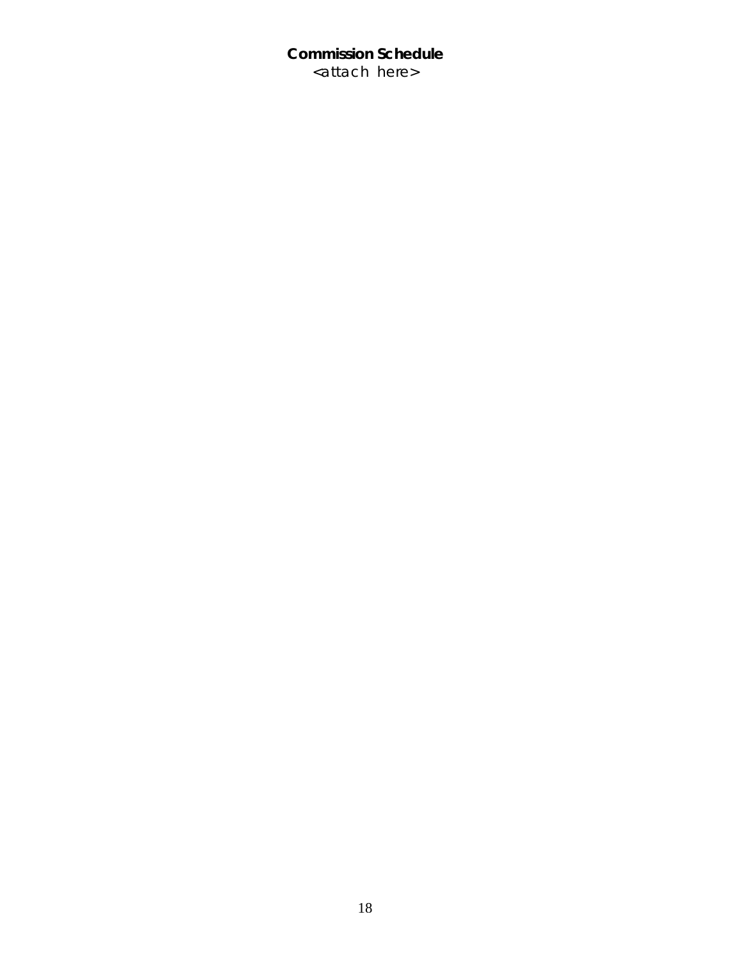# **Commission Schedule**  <attach here>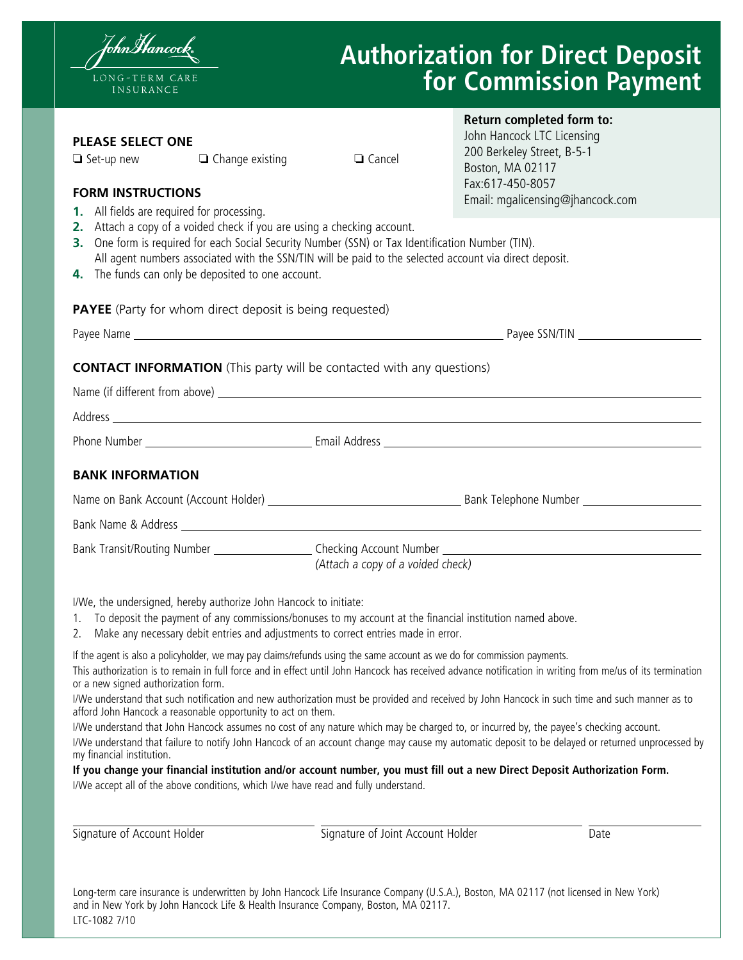

# **Authorization for Direct Deposit for Commission Payment**

#### **Please select one**

 $\Box$  Set-up new  $\Box$  Change existing  $\Box$  Cancel

#### **Return completed form to:** John Hancock LTC Licensing

200 Berkeley Street, B-5-1 Boston, MA 02117 Fax:617-450-8057 Email: mgalicensing@jhancock.com

### **Form Instructions**

- **1.** All fields are required for processing.
- **2.** Attach a copy of a voided check if you are using a checking account.
- **3.** One form is required for each Social Security Number (SSN) or Tax Identification Number (TIN). All agent numbers associated with the SSN/TIN will be paid to the selected account via direct deposit.
- **4.** The funds can only be deposited to one account.

**PAYEE** (Party for whom direct deposit is being requested)

| <b>CONTACT INFORMATION</b> (This party will be contacted with any questions) |  |  |  |  |  |
|------------------------------------------------------------------------------|--|--|--|--|--|
|                                                                              |  |  |  |  |  |
|                                                                              |  |  |  |  |  |
|                                                                              |  |  |  |  |  |
| <b>BANK INFORMATION</b>                                                      |  |  |  |  |  |
|                                                                              |  |  |  |  |  |

Bank Name & Address

Bank Transit/Routing Number Checking Account Number

(Attach a copy of a voided check)

I/We, the undersigned, hereby authorize John Hancock to initiate:

- 1. To deposit the payment of any commissions/bonuses to my account at the financial institution named above.
- 2. Make any necessary debit entries and adjustments to correct entries made in error.

If the agent is also a policyholder, we may pay claims/refunds using the same account as we do for commission payments.

This authorization is to remain in full force and in effect until John Hancock has received advance notification in writing from me/us of its termination or a new signed authorization form.

I/We understand that such notification and new authorization must be provided and received by John Hancock in such time and such manner as to afford John Hancock a reasonable opportunity to act on them.

I/We understand that John Hancock assumes no cost of any nature which may be charged to, or incurred by, the payee's checking account.

I/We understand that failure to notify John Hancock of an account change may cause my automatic deposit to be delayed or returned unprocessed by my financial institution.

**If you change your financial institution and/or account number, you must fill out a new Direct Deposit Authorization Form.**

I/We accept all of the above conditions, which I/we have read and fully understand.

Signature of Account Holder The Signature of Joint Account Holder Date

Long-term care insurance is underwritten by John Hancock Life Insurance Company (U.S.A.), Boston, MA 02117 (not licensed in New York) and in New York by John Hancock Life & Health Insurance Company, Boston, MA 02117. LTC-1082 7/10